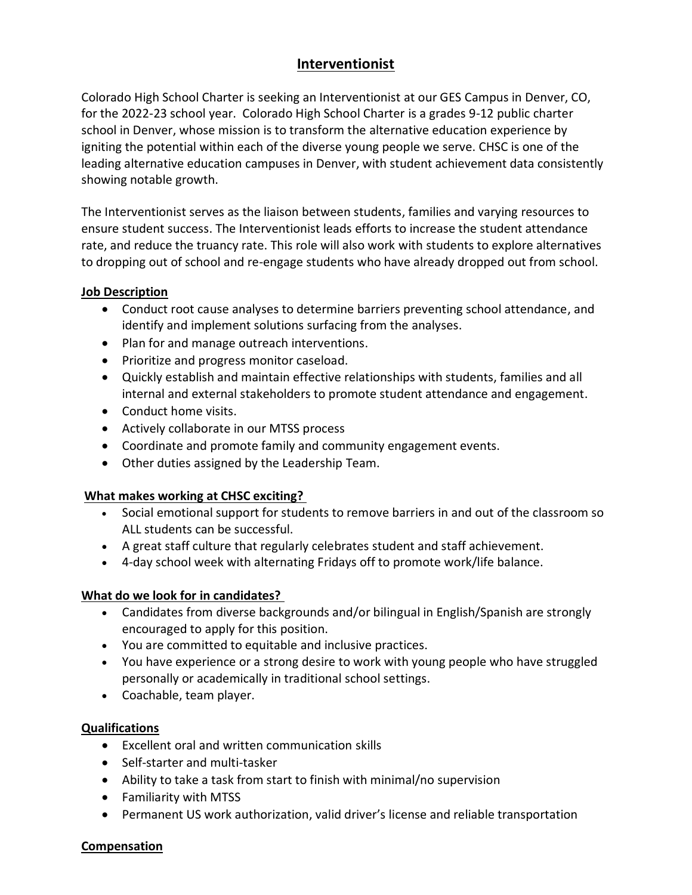# **Interventionist**

Colorado High School Charter is seeking an Interventionist at our GES Campus in Denver, CO, for the 2022-23 school year.  Colorado High School Charter is a grades 9-12 public charter school in Denver, whose mission is to transform the alternative education experience by igniting the potential within each of the diverse young people we serve. CHSC is one of the leading alternative education campuses in Denver, with student achievement data consistently showing notable growth. 

The Interventionist serves as the liaison between students, families and varying resources to ensure student success. The Interventionist leads efforts to increase the student attendance rate, and reduce the truancy rate. This role will also work with students to explore alternatives to dropping out of school and re-engage students who have already dropped out from school.

## **Job Description**

- Conduct root cause analyses to determine barriers preventing school attendance, and identify and implement solutions surfacing from the analyses.
- Plan for and manage outreach interventions.
- Prioritize and progress monitor caseload.
- Quickly establish and maintain effective relationships with students, families and all internal and external stakeholders to promote student attendance and engagement.
- Conduct home visits.
- Actively collaborate in our MTSS process
- Coordinate and promote family and community engagement events.
- Other duties assigned by the Leadership Team.

## **What makes working at CHSC exciting?**

- Social emotional support for students to remove barriers in and out of the classroom so ALL students can be successful.
- A great staff culture that regularly celebrates student and staff achievement.
- 4-day school week with alternating Fridays off to promote work/life balance.

## **What do we look for in candidates?**

- Candidates from diverse backgrounds and/or bilingual in English/Spanish are strongly encouraged to apply for this position.
- You are committed to equitable and inclusive practices.
- You have experience or a strong desire to work with young people who have struggled personally or academically in traditional school settings.
- Coachable, team player.

## **Qualifications**

- Excellent oral and written communication skills
- Self-starter and multi-tasker
- Ability to take a task from start to finish with minimal/no supervision
- Familiarity with MTSS
- Permanent US work authorization, valid driver's license and reliable transportation

#### **Compensation**